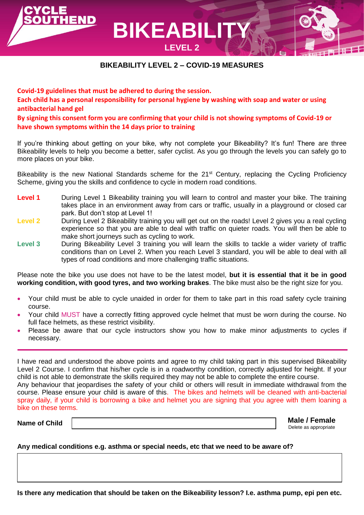**BIKEABILITY LEVEL 2 – COVID-19 MEASURES**

**LEVEL 2**

**Covid-19 guidelines that must be adhered to during the session. Each child has a personal responsibility for personal hygiene by washing with soap and water or using antibacterial hand gel By signing this consent form you are confirming that your child is not showing symptoms of Covid-19 or** 

**BIKEABILI** 

**have shown symptoms within the 14 days prior to training**

END

If you're thinking about getting on your bike, why not complete your Bikeability? It's fun! There are three Bikeability levels to help you become a better, safer cyclist. As you go through the levels you can safely go to more places on your bike.

Bikeability is the new National Standards scheme for the 21<sup>st</sup> Century, replacing the Cycling Proficiency Scheme, giving you the skills and confidence to cycle in modern road conditions.

- **Level 1** During Level 1 Bikeability training you will learn to control and master your bike. The training takes place in an environment away from cars or traffic, usually in a playground or closed car park. But don't stop at Level 1!
- **Level 2** During Level 2 Bikeability training you will get out on the roads! Level 2 gives you a real cycling experience so that you are able to deal with traffic on quieter roads. You will then be able to make short journeys such as cycling to work.
- **Level 3** During Bikeability Level 3 training you will learn the skills to tackle a wider variety of traffic conditions than on Level 2. When you reach Level 3 standard, you will be able to deal with all types of road conditions and more challenging traffic situations.

Please note the bike you use does not have to be the latest model, **but it is essential that it be in good working condition, with good tyres, and two working brakes**. The bike must also be the right size for you.

- Your child must be able to cycle unaided in order for them to take part in this road safety cycle training course.
- Your child MUST have a correctly fitting approved cycle helmet that must be worn during the course. No full face helmets, as these restrict visibility.
- Please be aware that our cycle instructors show you how to make minor adjustments to cycles if necessary.

I have read and understood the above points and agree to my child taking part in this supervised Bikeability Level 2 Course. I confirm that his/her cycle is in a roadworthy condition, correctly adjusted for height. If your child is not able to demonstrate the skills required they may not be able to complete the entire course. Any behaviour that jeopardises the safety of your child or others will result in immediate withdrawal from the

course. Please ensure your child is aware of this. The bikes and helmets will be cleaned with anti-bacterial spray daily, if your child is borrowing a bike and helmet you are signing that you agree with them loaning a bike on these terms.

**Name of Child**

**Male / Female** Delete as appropriate

## **Any medical conditions e.g. asthma or special needs, etc that we need to be aware of?**

**Is there any medication that should be taken on the Bikeability lesson? I.e. asthma pump, epi pen etc.**